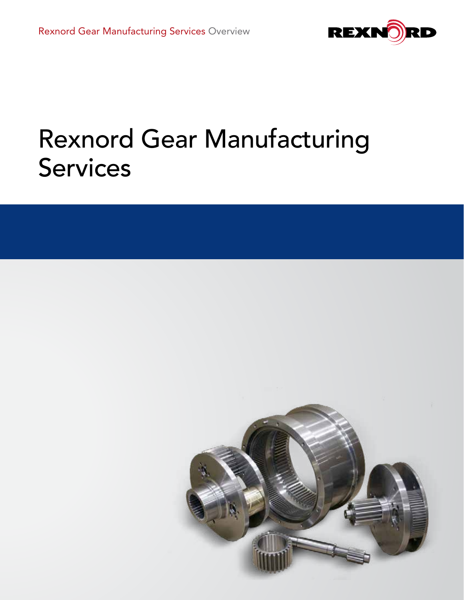

# Rexnord Gear Manufacturing Services

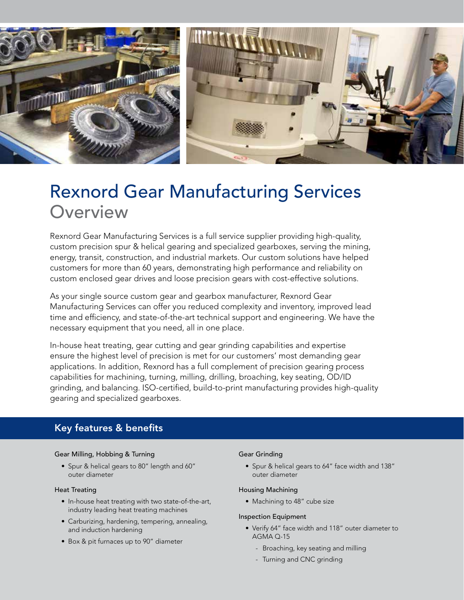

# Rexnord Gear Manufacturing Services **Overview**

Rexnord Gear Manufacturing Services is a full service supplier providing high-quality, custom precision spur & helical gearing and specialized gearboxes, serving the mining, energy, transit, construction, and industrial markets. Our custom solutions have helped customers for more than 60 years, demonstrating high performance and reliability on custom enclosed gear drives and loose precision gears with cost-effective solutions.

As your single source custom gear and gearbox manufacturer, Rexnord Gear Manufacturing Services can offer you reduced complexity and inventory, improved lead time and efficiency, and state-of-the-art technical support and engineering. We have the necessary equipment that you need, all in one place.

In-house heat treating, gear cutting and gear grinding capabilities and expertise ensure the highest level of precision is met for our customers' most demanding gear applications. In addition, Rexnord has a full complement of precision gearing process capabilities for machining, turning, milling, drilling, broaching, key seating, OD/ID grinding, and balancing. ISO-certified, build-to-print manufacturing provides high-quality gearing and specialized gearboxes.

# Key features & benefits

#### Gear Milling, Hobbing & Turning

• Spur & helical gears to 80" length and 60" outer diameter

#### Heat Treating

- In-house heat treating with two state-of-the-art, industry leading heat treating machines
- Carburizing, hardening, tempering, annealing, and induction hardening
- Box & pit furnaces up to 90" diameter

#### Gear Grinding

• Spur & helical gears to 64" face width and 138" outer diameter

#### Housing Machining

• Machining to 48" cube size

#### Inspection Equipment

- Verify 64" face width and 118" outer diameter to AGMA Q-15
	- Broaching, key seating and milling
	- Turning and CNC grinding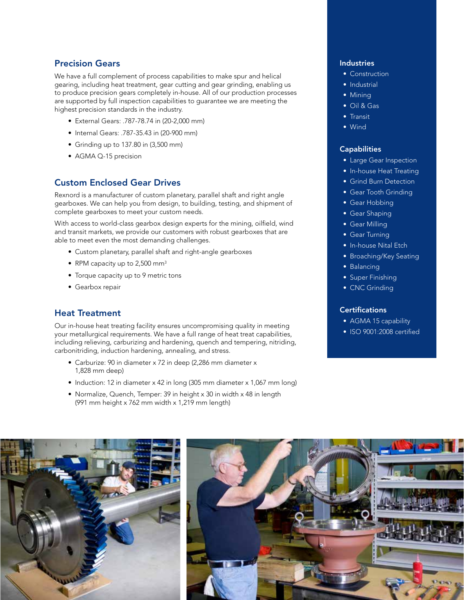# Precision Gears

We have a full complement of process capabilities to make spur and helical gearing, including heat treatment, gear cutting and gear grinding, enabling us to produce precision gears completely in-house. All of our production processes are supported by full inspection capabilities to guarantee we are meeting the highest precision standards in the industry.

- External Gears: .787-78.74 in (20-2,000 mm)
- Internal Gears: .787-35.43 in (20-900 mm)
- Grinding up to 137.80 in (3,500 mm)
- AGMA Q-15 precision

# Custom Enclosed Gear Drives

Rexnord is a manufacturer of custom planetary, parallel shaft and right angle gearboxes. We can help you from design, to building, testing, and shipment of complete gearboxes to meet your custom needs.

With access to world-class gearbox design experts for the mining, oilfield, wind and transit markets, we provide our customers with robust gearboxes that are able to meet even the most demanding challenges.

- Custom planetary, parallel shaft and right-angle gearboxes
- RPM capacity up to 2,500 mm<sup>3</sup>
- Torque capacity up to 9 metric tons
- Gearbox repair

# Heat Treatment

Our in-house heat treating facility ensures uncompromising quality in meeting your metallurgical requirements. We have a full range of heat treat capabilities, including relieving, carburizing and hardening, quench and tempering, nitriding, carbonitriding, induction hardening, annealing, and stress.

- Carburize: 90 in diameter x 72 in deep (2,286 mm diameter x 1,828 mm deep)
- Induction: 12 in diameter x 42 in long (305 mm diameter x 1,067 mm long)
- Normalize, Quench, Temper: 39 in height x 30 in width x 48 in length (991 mm height x 762 mm width x 1,219 mm length)

## Industries

- Construction
- Industrial
- Mining
- Oil & Gas
- Transit
- Wind

#### **Capabilities**

- Large Gear Inspection
- In-house Heat Treating
- Grind Burn Detection
- Gear Tooth Grinding
- Gear Hobbing
- Gear Shaping
- Gear Milling
- Gear Turning
- In-house Nital Etch
- Broaching/Key Seating
- Balancing
- Super Finishing
- CNC Grinding

#### **Certifications**

- AGMA 15 capability
- ISO 9001:2008 certified

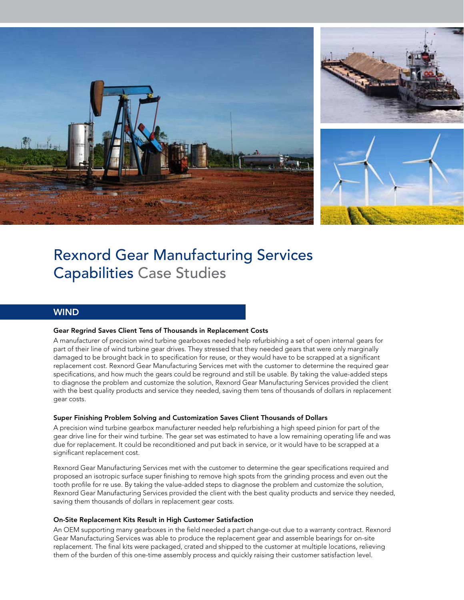

# Rexnord Gear Manufacturing Services Capabilities Case Studies

### **WIND**

#### Gear Regrind Saves Client Tens of Thousands in Replacement Costs

A manufacturer of precision wind turbine gearboxes needed help refurbishing a set of open internal gears for part of their line of wind turbine gear drives. They stressed that they needed gears that were only marginally damaged to be brought back in to specification for reuse, or they would have to be scrapped at a significant replacement cost. Rexnord Gear Manufacturing Services met with the customer to determine the required gear specifications, and how much the gears could be reground and still be usable. By taking the value-added steps to diagnose the problem and customize the solution, Rexnord Gear Manufacturing Services provided the client with the best quality products and service they needed, saving them tens of thousands of dollars in replacement gear costs.

#### Super Finishing Problem Solving and Customization Saves Client Thousands of Dollars

A precision wind turbine gearbox manufacturer needed help refurbishing a high speed pinion for part of the gear drive line for their wind turbine. The gear set was estimated to have a low remaining operating life and was due for replacement. It could be reconditioned and put back in service, or it would have to be scrapped at a significant replacement cost.

Rexnord Gear Manufacturing Services met with the customer to determine the gear specifications required and proposed an isotropic surface super finishing to remove high spots from the grinding process and even out the tooth profile for re use. By taking the value-added steps to diagnose the problem and customize the solution, Rexnord Gear Manufacturing Services provided the client with the best quality products and service they needed, saving them thousands of dollars in replacement gear costs.

#### On-Site Replacement Kits Result in High Customer Satisfaction

An OEM supporting many gearboxes in the field needed a part change-out due to a warranty contract. Rexnord Gear Manufacturing Services was able to produce the replacement gear and assemble bearings for on-site replacement. The final kits were packaged, crated and shipped to the customer at multiple locations, relieving them of the burden of this one-time assembly process and quickly raising their customer satisfaction level.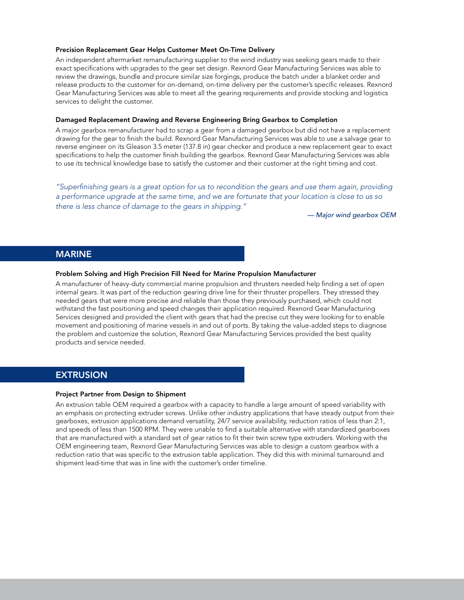#### Precision Replacement Gear Helps Customer Meet On-Time Delivery

An independent aftermarket remanufacturing supplier to the wind industry was seeking gears made to their exact specifications with upgrades to the gear set design. Rexnord Gear Manufacturing Services was able to review the drawings, bundle and procure similar size forgings, produce the batch under a blanket order and release products to the customer for on-demand, on-time delivery per the customer's specific releases. Rexnord Gear Manufacturing Services was able to meet all the gearing requirements and provide stocking and logistics services to delight the customer.

#### Damaged Replacement Drawing and Reverse Engineering Bring Gearbox to Completion

A major gearbox remanufacturer had to scrap a gear from a damaged gearbox but did not have a replacement drawing for the gear to finish the build. Rexnord Gear Manufacturing Services was able to use a salvage gear to reverse engineer on its Gleason 3.5 meter (137.8 in) gear checker and produce a new replacement gear to exact specifications to help the customer finish building the gearbox. Rexnord Gear Manufacturing Services was able to use its technical knowledge base to satisfy the customer and their customer at the right timing and cost.

*"Superfinishing gears is a great option for us to recondition the gears and use them again, providing a performance upgrade at the same time, and we are fortunate that your location is close to us so there is less chance of damage to the gears in shipping."*

*— Major wind gearbox OEM*

#### MARINE

#### Problem Solving and High Precision Fill Need for Marine Propulsion Manufacturer

A manufacturer of heavy-duty commercial marine propulsion and thrusters needed help finding a set of open internal gears. It was part of the reduction gearing drive line for their thruster propellers. They stressed they needed gears that were more precise and reliable than those they previously purchased, which could not withstand the fast positioning and speed changes their application required. Rexnord Gear Manufacturing Services designed and provided the client with gears that had the precise cut they were looking for to enable movement and positioning of marine vessels in and out of ports. By taking the value-added steps to diagnose the problem and customize the solution, Rexnord Gear Manufacturing Services provided the best quality products and service needed.

## EXTRUSION

#### Project Partner from Design to Shipment

An extrusion table OEM required a gearbox with a capacity to handle a large amount of speed variability with an emphasis on protecting extruder screws. Unlike other industry applications that have steady output from their gearboxes, extrusion applications demand versatility, 24/7 service availability, reduction ratios of less than 2:1, and speeds of less than 1500 RPM. They were unable to find a suitable alternative with standardized gearboxes that are manufactured with a standard set of gear ratios to fit their twin screw type extruders. Working with the OEM engineering team, Rexnord Gear Manufacturing Services was able to design a custom gearbox with a reduction ratio that was specific to the extrusion table application. They did this with minimal turnaround and shipment lead-time that was in line with the customer's order timeline.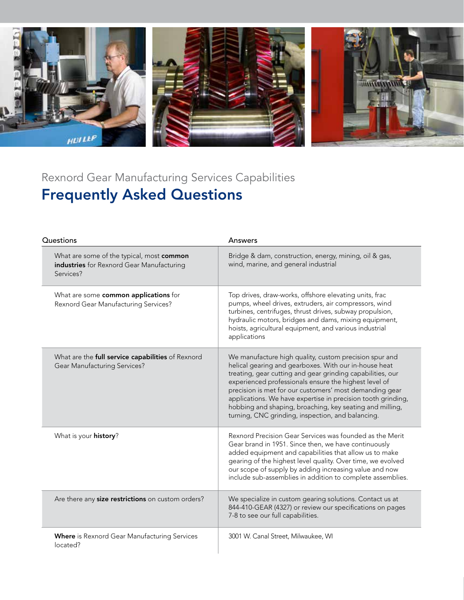

# Rexnord Gear Manufacturing Services Capabilities Frequently Asked Questions

| Questions                                                                                           | Answers                                                                                                                                                                                                                                                                                                                                                                                                                                                                            |
|-----------------------------------------------------------------------------------------------------|------------------------------------------------------------------------------------------------------------------------------------------------------------------------------------------------------------------------------------------------------------------------------------------------------------------------------------------------------------------------------------------------------------------------------------------------------------------------------------|
| What are some of the typical, most common<br>industries for Rexnord Gear Manufacturing<br>Services? | Bridge & dam, construction, energy, mining, oil & gas,<br>wind, marine, and general industrial                                                                                                                                                                                                                                                                                                                                                                                     |
| What are some common applications for<br>Rexnord Gear Manufacturing Services?                       | Top drives, draw-works, offshore elevating units, frac<br>pumps, wheel drives, extruders, air compressors, wind<br>turbines, centrifuges, thrust drives, subway propulsion,<br>hydraulic motors, bridges and dams, mixing equipment,<br>hoists, agricultural equipment, and various industrial<br>applications                                                                                                                                                                     |
| What are the full service capabilities of Rexnord<br><b>Gear Manufacturing Services?</b>            | We manufacture high quality, custom precision spur and<br>helical gearing and gearboxes. With our in-house heat<br>treating, gear cutting and gear grinding capabilities, our<br>experienced professionals ensure the highest level of<br>precision is met for our customers' most demanding gear<br>applications. We have expertise in precision tooth grinding,<br>hobbing and shaping, broaching, key seating and milling,<br>turning, CNC grinding, inspection, and balancing. |
| What is your history?                                                                               | Rexnord Precision Gear Services was founded as the Merit<br>Gear brand in 1951. Since then, we have continuously<br>added equipment and capabilities that allow us to make<br>gearing of the highest level quality. Over time, we evolved<br>our scope of supply by adding increasing value and now<br>include sub-assemblies in addition to complete assemblies.                                                                                                                  |
| Are there any size restrictions on custom orders?                                                   | We specialize in custom gearing solutions. Contact us at<br>844-410-GEAR (4327) or review our specifications on pages<br>7-8 to see our full capabilities.                                                                                                                                                                                                                                                                                                                         |
| <b>Where</b> is Rexnord Gear Manufacturing Services<br>located?                                     | 3001 W. Canal Street, Milwaukee, WI                                                                                                                                                                                                                                                                                                                                                                                                                                                |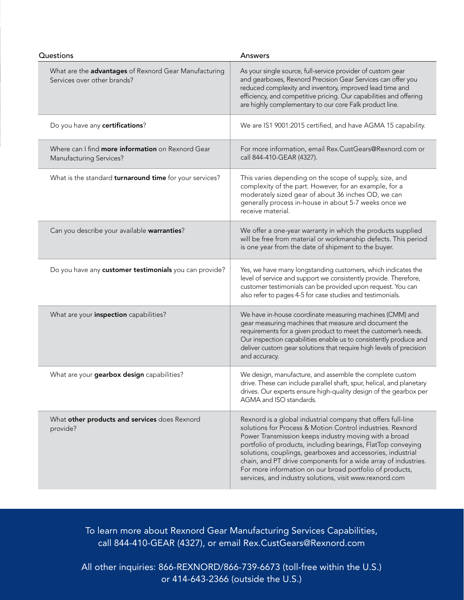| Questions                                                                            | Answers                                                                                                                                                                                                                                                                                                                                                                                                                                                                                                     |
|--------------------------------------------------------------------------------------|-------------------------------------------------------------------------------------------------------------------------------------------------------------------------------------------------------------------------------------------------------------------------------------------------------------------------------------------------------------------------------------------------------------------------------------------------------------------------------------------------------------|
| What are the advantages of Rexnord Gear Manufacturing<br>Services over other brands? | As your single source, full-service provider of custom gear<br>and gearboxes, Rexnord Precision Gear Services can offer you<br>reduced complexity and inventory, improved lead time and<br>efficiency, and competitive pricing. Our capabilities and offering<br>are highly complementary to our core Falk product line.                                                                                                                                                                                    |
| Do you have any certifications?                                                      | We are IS1 9001:2015 certified, and have AGMA 15 capability.                                                                                                                                                                                                                                                                                                                                                                                                                                                |
| Where can I find more information on Rexnord Gear<br><b>Manufacturing Services?</b>  | For more information, email Rex.CustGears@Rexnord.com or<br>call 844-410-GEAR (4327).                                                                                                                                                                                                                                                                                                                                                                                                                       |
| What is the standard turnaround time for your services?                              | This varies depending on the scope of supply, size, and<br>complexity of the part. However, for an example, for a<br>moderately sized gear of about 36 inches OD, we can<br>generally process in-house in about 5-7 weeks once we<br>receive material.                                                                                                                                                                                                                                                      |
| Can you describe your available warranties?                                          | We offer a one-year warranty in which the products supplied<br>will be free from material or workmanship defects. This period<br>is one year from the date of shipment to the buyer.                                                                                                                                                                                                                                                                                                                        |
| Do you have any customer testimonials you can provide?                               | Yes, we have many longstanding customers, which indicates the<br>level of service and support we consistently provide. Therefore,<br>customer testimonials can be provided upon request. You can<br>also refer to pages 4-5 for case studies and testimonials.                                                                                                                                                                                                                                              |
| What are your inspection capabilities?                                               | We have in-house coordinate measuring machines (CMM) and<br>gear measuring machines that measure and document the<br>requirements for a given product to meet the customer's needs.<br>Our inspection capabilities enable us to consistently produce and<br>deliver custom gear solutions that require high levels of precision<br>and accuracy.                                                                                                                                                            |
| What are your gearbox design capabilities?                                           | We design, manufacture, and assemble the complete custom<br>drive. These can include parallel shaft, spur, helical, and planetary<br>drives. Our experts ensure high-quality design of the gearbox per<br>AGMA and ISO standards.                                                                                                                                                                                                                                                                           |
| What other products and services does Rexnord<br>provide?                            | Rexnord is a global industrial company that offers full-line<br>solutions for Process & Motion Control industries. Rexnord<br>Power Transmission keeps industry moving with a broad<br>portfolio of products, including bearings, FlatTop conveying<br>solutions, couplings, gearboxes and accessories, industrial<br>chain, and PT drive components for a wide array of industries.<br>For more information on our broad portfolio of products,<br>services, and industry solutions, visit www.rexnord.com |

To learn more about Rexnord Gear Manufacturing Services Capabilities, call 844-410-GEAR (4327), or email Rex.CustGears@Rexnord.com

All other inquiries: 866-REXNORD/866-739-6673 (toll-free within the U.S.) or 414-643-2366 (outside the U.S.)